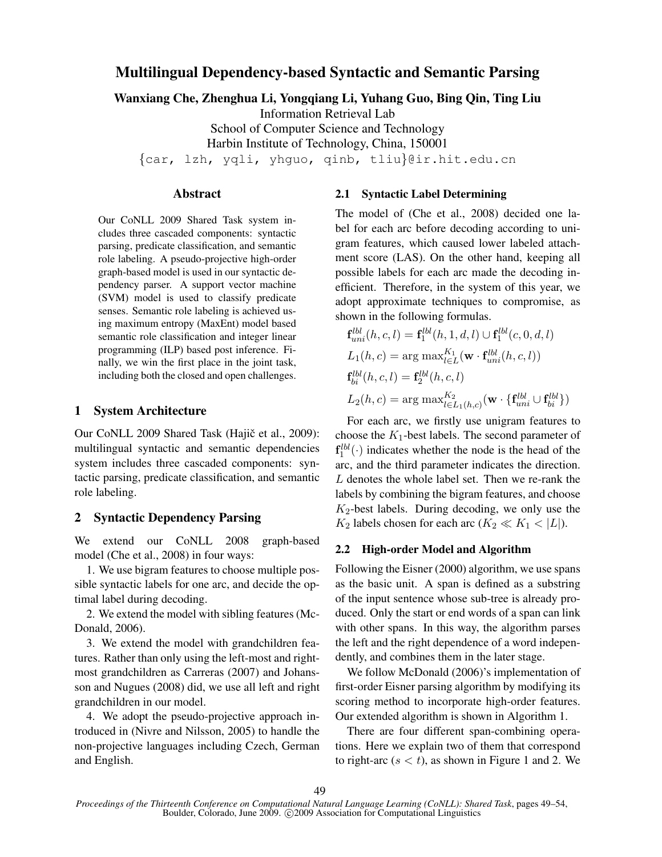# Multilingual Dependency-based Syntactic and Semantic Parsing

Wanxiang Che, Zhenghua Li, Yongqiang Li, Yuhang Guo, Bing Qin, Ting Liu

Information Retrieval Lab

School of Computer Science and Technology

Harbin Institute of Technology, China, 150001

{car, lzh, yqli, yhguo, qinb, tliu}@ir.hit.edu.cn

# Abstract

Our CoNLL 2009 Shared Task system includes three cascaded components: syntactic parsing, predicate classification, and semantic role labeling. A pseudo-projective high-order graph-based model is used in our syntactic dependency parser. A support vector machine (SVM) model is used to classify predicate senses. Semantic role labeling is achieved using maximum entropy (MaxEnt) model based semantic role classification and integer linear programming (ILP) based post inference. Finally, we win the first place in the joint task, including both the closed and open challenges.

### 1 System Architecture

Our CoNLL 2009 Shared Task (Hajič et al., 2009): multilingual syntactic and semantic dependencies system includes three cascaded components: syntactic parsing, predicate classification, and semantic role labeling.

# 2 Syntactic Dependency Parsing

We extend our CoNLL 2008 graph-based model (Che et al., 2008) in four ways:

1. We use bigram features to choose multiple possible syntactic labels for one arc, and decide the optimal label during decoding.

2. We extend the model with sibling features (Mc-Donald, 2006).

3. We extend the model with grandchildren features. Rather than only using the left-most and rightmost grandchildren as Carreras (2007) and Johansson and Nugues (2008) did, we use all left and right grandchildren in our model.

4. We adopt the pseudo-projective approach introduced in (Nivre and Nilsson, 2005) to handle the non-projective languages including Czech, German and English.

### 2.1 Syntactic Label Determining

The model of (Che et al., 2008) decided one label for each arc before decoding according to unigram features, which caused lower labeled attachment score (LAS). On the other hand, keeping all possible labels for each arc made the decoding inefficient. Therefore, in the system of this year, we adopt approximate techniques to compromise, as shown in the following formulas.

$$
\mathbf{f}_{uni}^{lbl}(h, c, l) = \mathbf{f}_{1}^{lbl}(h, 1, d, l) \cup \mathbf{f}_{1}^{lbl}(c, 0, d, l)
$$
  
\n
$$
L_{1}(h, c) = \arg \max_{l \in L}^{K_{1}} (\mathbf{w} \cdot \mathbf{f}_{uni}^{lbl}(h, c, l))
$$
  
\n
$$
\mathbf{f}_{bi}^{lbl}(h, c, l) = \mathbf{f}_{2}^{lbl}(h, c, l)
$$
  
\n
$$
L_{2}(h, c) = \arg \max_{l \in L_{1}(h, c)}^{K_{2}} (\mathbf{w} \cdot \{\mathbf{f}_{uni}^{lbl} \cup \mathbf{f}_{bi}^{lbl}\})
$$

For each arc, we firstly use unigram features to choose the  $K_1$ -best labels. The second parameter of  $f_1^{lbl}(\cdot)$  indicates whether the node is the head of the arc, and the third parameter indicates the direction. L denotes the whole label set. Then we re-rank the labels by combining the bigram features, and choose  $K_2$ -best labels. During decoding, we only use the  $K_2$  labels chosen for each arc  $(K_2 \ll K_1 < |L|)$ .

#### 2.2 High-order Model and Algorithm

Following the Eisner (2000) algorithm, we use spans as the basic unit. A span is defined as a substring of the input sentence whose sub-tree is already produced. Only the start or end words of a span can link with other spans. In this way, the algorithm parses the left and the right dependence of a word independently, and combines them in the later stage.

We follow McDonald (2006)'s implementation of first-order Eisner parsing algorithm by modifying its scoring method to incorporate high-order features. Our extended algorithm is shown in Algorithm 1.

There are four different span-combining operations. Here we explain two of them that correspond to right-arc  $(s < t)$ , as shown in Figure 1 and 2. We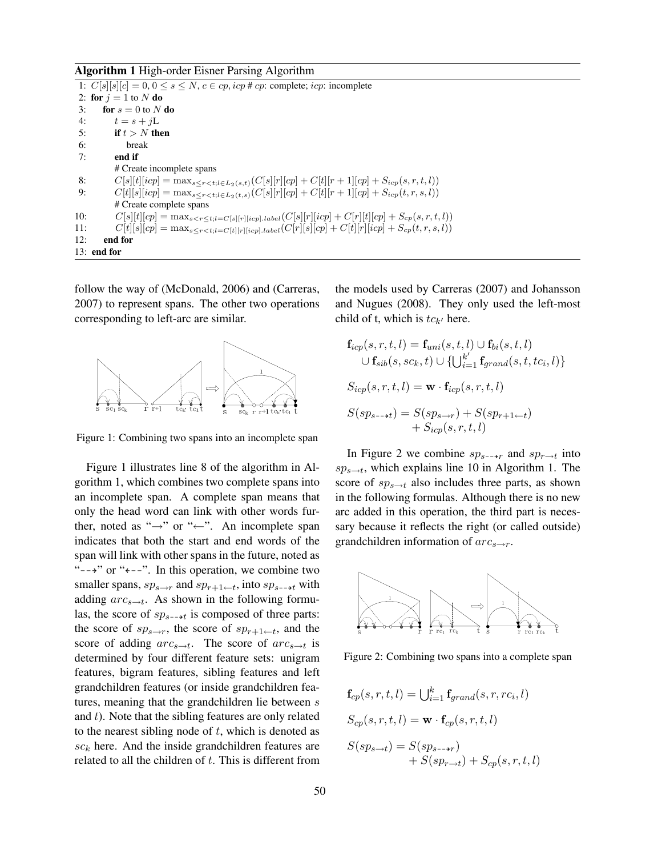#### Algorithm 1 High-order Eisner Parsing Algorithm

1:  $C[s][s][c] = 0, 0 \le s \le N$ ,  $c \in cp$ ,  $icp \neq cp$ : complete;  $icp$ : incomplete 2: for  $j = 1$  to N do 3: for  $s = 0$  to N do 4:  $t = s + jL$ 5: if  $t > N$  then 6: break 7: end if # Create incomplete spans 8:  $C[s][t][icp] = \max_{s \leq r < t; l \in L_2(s,t)} (C[s][r][cp] + C[t][r+1][cp] + S_{icp}(s,r,t,l))$ <br>
9:  $C[t][s][icp] = \max_{s \leq r < t; l \in L_2(t,s)} (C[s][r][cp] + C[t][r+1][cp] + S_{icp}(t,r,s,l))$  $C[t][s][icp] = \max_{s \leq r < t; l \in L_2(t,s)}(C[s][r][cp] + C[t][r+1][cp] + S_{icp}(t, r, s, l))$ # Create complete spans 10:  $C[s][t][cp] = \max_{s < r \le t; l = C[s][r][icp].label}(C[s][r][icp] + C[r][t][cp] + S_{cp}(s,r,t,l))$ <br>
11:  $C[t][s][cp] = \max_{s < r < t; l = C[t][r][icp].label}(C[r][s][cp] + C[t][r][icp] + S_{cp}(t,r,s,l))$ 11:  $C[t][s][cp] = \max_{s \leq r < t; l = C[t][r][icp].label}(C[r][s][cp] + C[t][r][icp] + S_{cp}(t, r, s, l))$ <br>12: **end for** end for 13: end for

follow the way of (McDonald, 2006) and (Carreras, 2007) to represent spans. The other two operations corresponding to left-arc are similar.



Figure 1: Combining two spans into an incomplete span

Figure 1 illustrates line 8 of the algorithm in Algorithm 1, which combines two complete spans into an incomplete span. A complete span means that only the head word can link with other words further, noted as " $\rightarrow$ " or " $\leftarrow$ ". An incomplete span indicates that both the start and end words of the span will link with other spans in the future, noted as " $\rightarrow$ " or " $\leftarrow$ -". In this operation, we combine two smaller spans,  $sp_{s\rightarrow r}$  and  $sp_{r+1\leftarrow t}$ , into  $sp_{s\rightarrow t}$  with adding  $arc_{s\rightarrow t}$ . As shown in the following formulas, the score of  $sp_{s-+t}$  is composed of three parts: the score of  $sp_{s\rightarrow r}$ , the score of  $sp_{r+1\leftarrow t}$ , and the score of adding  $arc_{s\rightarrow t}$ . The score of  $arc_{s\rightarrow t}$  is determined by four different feature sets: unigram features, bigram features, sibling features and left grandchildren features (or inside grandchildren features, meaning that the grandchildren lie between s and  $t$ ). Note that the sibling features are only related to the nearest sibling node of  $t$ , which is denoted as  $sc_k$  here. And the inside grandchildren features are related to all the children of  $t$ . This is different from the models used by Carreras (2007) and Johansson and Nugues (2008). They only used the left-most child of t, which is  $tc_{k'}$  here.

$$
\mathbf{f}_{icp}(s,r,t,l) = \mathbf{f}_{uni}(s,t,l) \cup \mathbf{f}_{bi}(s,t,l)
$$
  

$$
\cup \mathbf{f}_{sib}(s, sc_k, t) \cup \{\bigcup_{i=1}^{k'} \mathbf{f}_{grand}(s,t, tc_i, l)\}
$$
  

$$
S_{icp}(s,r,t,l) = \mathbf{w} \cdot \mathbf{f}_{icp}(s,r,t,l)
$$
  

$$
S(sp_{s\rightarrow t}) = S(sp_{s\rightarrow r}) + S(sp_{r+1\leftarrow t})
$$
  

$$
+ S_{icp}(s,r,t,l)
$$

In Figure 2 we combine  $sp_{s\rightarrow r}$  and  $sp_{r\rightarrow t}$  into  $sp_{s\rightarrow t}$ , which explains line 10 in Algorithm 1. The score of  $sp_{s\to t}$  also includes three parts, as shown in the following formulas. Although there is no new arc added in this operation, the third part is necessary because it reflects the right (or called outside) grandchildren information of  $arc_{s\rightarrow r}$ .



Figure 2: Combining two spans into a complete span

$$
\mathbf{f}_{cp}(s,r,t,l) = \bigcup_{i=1}^{k} \mathbf{f}_{grand}(s,r, rc_i, l)
$$

$$
S_{cp}(s,r,t,l) = \mathbf{w} \cdot \mathbf{f}_{cp}(s,r,t,l)
$$

$$
S(sp_{s\rightarrow t}) = S(sp_{s\rightarrow r}) + S_{cp}(s,r,t,l)
$$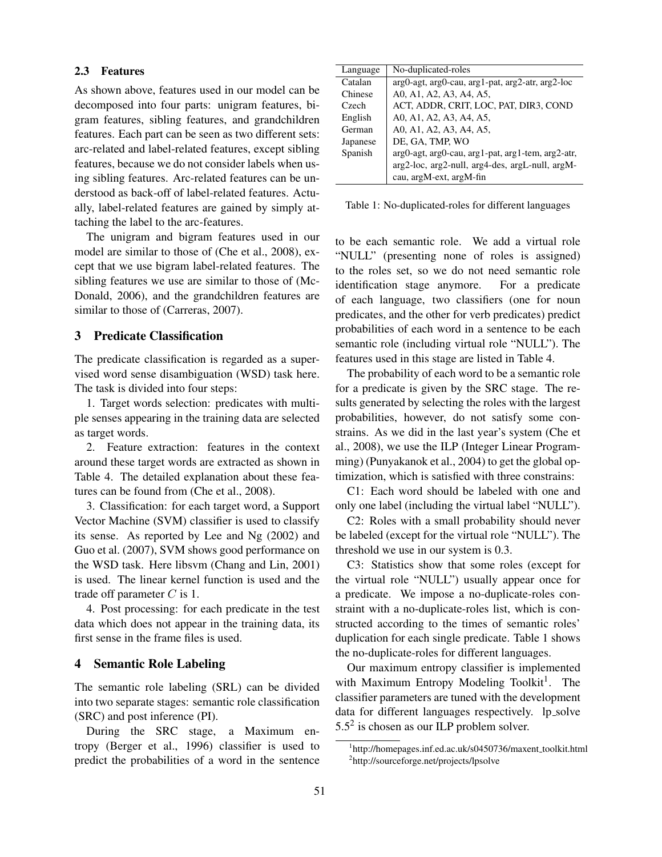## 2.3 Features

As shown above, features used in our model can be decomposed into four parts: unigram features, bigram features, sibling features, and grandchildren features. Each part can be seen as two different sets: arc-related and label-related features, except sibling features, because we do not consider labels when using sibling features. Arc-related features can be understood as back-off of label-related features. Actually, label-related features are gained by simply attaching the label to the arc-features.

The unigram and bigram features used in our model are similar to those of (Che et al., 2008), except that we use bigram label-related features. The sibling features we use are similar to those of (Mc-Donald, 2006), and the grandchildren features are similar to those of (Carreras, 2007).

# 3 Predicate Classification

The predicate classification is regarded as a supervised word sense disambiguation (WSD) task here. The task is divided into four steps:

1. Target words selection: predicates with multiple senses appearing in the training data are selected as target words.

2. Feature extraction: features in the context around these target words are extracted as shown in Table 4. The detailed explanation about these features can be found from (Che et al., 2008).

3. Classification: for each target word, a Support Vector Machine (SVM) classifier is used to classify its sense. As reported by Lee and Ng (2002) and Guo et al. (2007), SVM shows good performance on the WSD task. Here libsvm (Chang and Lin, 2001) is used. The linear kernel function is used and the trade off parameter  $C$  is 1.

4. Post processing: for each predicate in the test data which does not appear in the training data, its first sense in the frame files is used.

### 4 Semantic Role Labeling

The semantic role labeling (SRL) can be divided into two separate stages: semantic role classification (SRC) and post inference (PI).

During the SRC stage, a Maximum entropy (Berger et al., 1996) classifier is used to predict the probabilities of a word in the sentence

| Language | No-duplicated-roles                                             |
|----------|-----------------------------------------------------------------|
| Catalan  | $arg0$ -agt, $arg0$ -cau, $arg1$ -pat, $arg2$ -atr, $arg2$ -loc |
| Chinese  | A0, A1, A2, A3, A4, A5,                                         |
| Czech    | ACT, ADDR, CRIT, LOC, PAT, DIR3, COND                           |
| English  | A0, A1, A2, A3, A4, A5,                                         |
| German   | A0, A1, A2, A3, A4, A5,                                         |
| Japanese | DE, GA, TMP, WO                                                 |
| Spanish  | arg0-agt, arg0-cau, arg1-pat, arg1-tem, arg2-atr,               |
|          | arg2-loc, arg2-null, arg4-des, argL-null, argM-                 |
|          | cau, argM-ext, argM-fin                                         |

Table 1: No-duplicated-roles for different languages

to be each semantic role. We add a virtual role "NULL" (presenting none of roles is assigned) to the roles set, so we do not need semantic role identification stage anymore. For a predicate of each language, two classifiers (one for noun predicates, and the other for verb predicates) predict probabilities of each word in a sentence to be each semantic role (including virtual role "NULL"). The features used in this stage are listed in Table 4.

The probability of each word to be a semantic role for a predicate is given by the SRC stage. The results generated by selecting the roles with the largest probabilities, however, do not satisfy some constrains. As we did in the last year's system (Che et al., 2008), we use the ILP (Integer Linear Programming) (Punyakanok et al., 2004) to get the global optimization, which is satisfied with three constrains:

C1: Each word should be labeled with one and only one label (including the virtual label "NULL").

C2: Roles with a small probability should never be labeled (except for the virtual role "NULL"). The threshold we use in our system is 0.3.

C3: Statistics show that some roles (except for the virtual role "NULL") usually appear once for a predicate. We impose a no-duplicate-roles constraint with a no-duplicate-roles list, which is constructed according to the times of semantic roles' duplication for each single predicate. Table 1 shows the no-duplicate-roles for different languages.

Our maximum entropy classifier is implemented with Maximum Entropy Modeling Toolkit<sup>1</sup>. The classifier parameters are tuned with the development data for different languages respectively. lp\_solve  $5.5<sup>2</sup>$  is chosen as our ILP problem solver.

<sup>&</sup>lt;sup>1</sup>http://homepages.inf.ed.ac.uk/s0450736/maxent\_toolkit.html 2 http://sourceforge.net/projects/lpsolve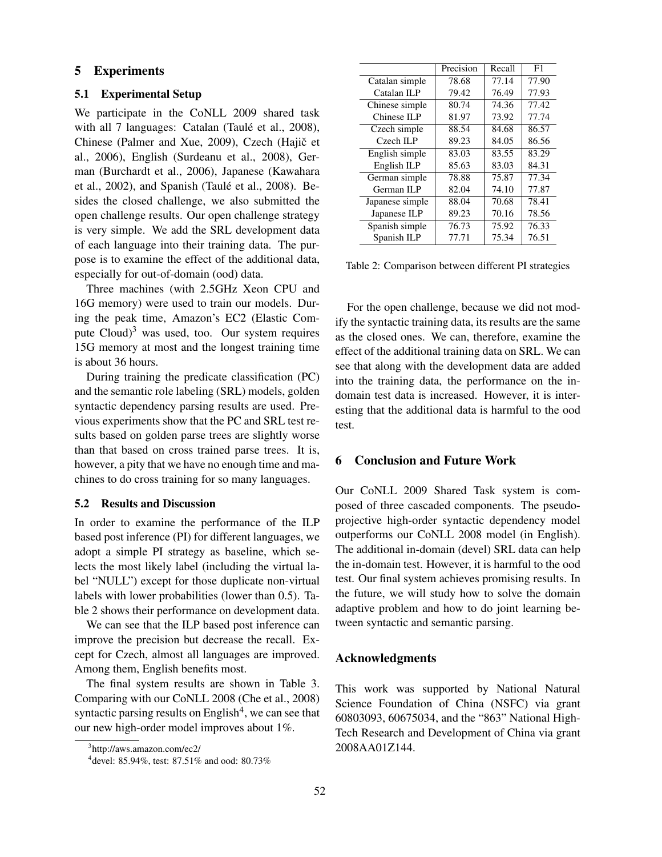# 5 Experiments

#### 5.1 Experimental Setup

We participate in the CoNLL 2009 shared task with all 7 languages: Catalan (Taulé et al., 2008), Chinese (Palmer and Xue, 2009), Czech (Hajič et al., 2006), English (Surdeanu et al., 2008), German (Burchardt et al., 2006), Japanese (Kawahara et al., 2002), and Spanish (Taulé et al., 2008). Besides the closed challenge, we also submitted the open challenge results. Our open challenge strategy is very simple. We add the SRL development data of each language into their training data. The purpose is to examine the effect of the additional data, especially for out-of-domain (ood) data.

Three machines (with 2.5GHz Xeon CPU and 16G memory) were used to train our models. During the peak time, Amazon's EC2 (Elastic Compute  $Cloud$ <sup>3</sup> was used, too. Our system requires 15G memory at most and the longest training time is about 36 hours.

During training the predicate classification (PC) and the semantic role labeling (SRL) models, golden syntactic dependency parsing results are used. Previous experiments show that the PC and SRL test results based on golden parse trees are slightly worse than that based on cross trained parse trees. It is, however, a pity that we have no enough time and machines to do cross training for so many languages.

### 5.2 Results and Discussion

In order to examine the performance of the ILP based post inference (PI) for different languages, we adopt a simple PI strategy as baseline, which selects the most likely label (including the virtual label "NULL") except for those duplicate non-virtual labels with lower probabilities (lower than 0.5). Table 2 shows their performance on development data.

We can see that the ILP based post inference can improve the precision but decrease the recall. Except for Czech, almost all languages are improved. Among them, English benefits most.

The final system results are shown in Table 3. Comparing with our CoNLL 2008 (Che et al., 2008) syntactic parsing results on  $English<sup>4</sup>$ , we can see that our new high-order model improves about 1%.

|                 | Precision | Recall | F1    |
|-----------------|-----------|--------|-------|
| Catalan simple  | 78.68     | 77.14  | 77.90 |
| Catalan ILP     | 79.42     | 76.49  | 77.93 |
| Chinese simple  | 80.74     | 74.36  | 77.42 |
| Chinese ILP     | 81.97     | 73.92  | 77.74 |
| Czech simple    | 88.54     | 84.68  | 86.57 |
| Czech II.P      | 89.23     | 84.05  | 86.56 |
| English simple  | 83.03     | 83.55  | 83.29 |
| English ILP     | 85.63     | 83.03  |       |
| German simple   | 78.88     | 75.87  | 77.34 |
| German ILP      | 82.04     | 74.10  | 77.87 |
| Japanese simple | 88.04     | 70.68  | 78.41 |
| Japanese ILP    | 89.23     | 70.16  | 78.56 |
| Spanish simple  | 76.73     | 75.92  | 76.33 |
| Spanish ILP     | 77.71     | 75.34  | 76.51 |

Table 2: Comparison between different PI strategies

For the open challenge, because we did not modify the syntactic training data, its results are the same as the closed ones. We can, therefore, examine the effect of the additional training data on SRL. We can see that along with the development data are added into the training data, the performance on the indomain test data is increased. However, it is interesting that the additional data is harmful to the ood test.

# 6 Conclusion and Future Work

Our CoNLL 2009 Shared Task system is composed of three cascaded components. The pseudoprojective high-order syntactic dependency model outperforms our CoNLL 2008 model (in English). The additional in-domain (devel) SRL data can help the in-domain test. However, it is harmful to the ood test. Our final system achieves promising results. In the future, we will study how to solve the domain adaptive problem and how to do joint learning between syntactic and semantic parsing.

### Acknowledgments

This work was supported by National Natural Science Foundation of China (NSFC) via grant 60803093, 60675034, and the "863" National High-Tech Research and Development of China via grant 2008AA01Z144.

<sup>3</sup> http://aws.amazon.com/ec2/

<sup>4</sup> devel: 85.94%, test: 87.51% and ood: 80.73%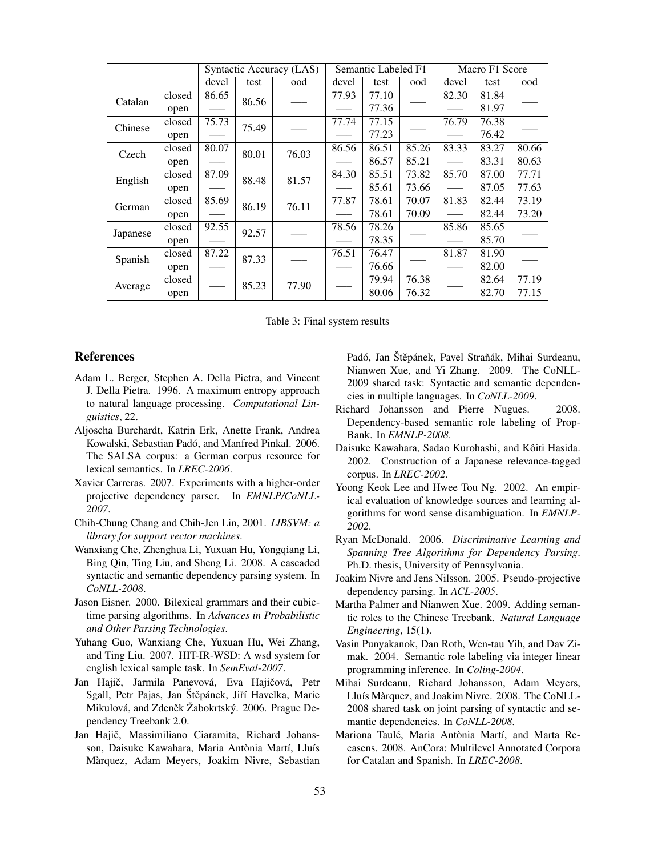|          |        | Syntactic Accuracy (LAS) |       | Semantic Labeled F1 |       |       | Macro F1 Score     |       |       |       |
|----------|--------|--------------------------|-------|---------------------|-------|-------|--------------------|-------|-------|-------|
|          |        | devel                    | test  | ood                 | devel | test  | ood                | devel | test  | ood   |
| Catalan  | closed | 86.65                    | 86.56 |                     | 77.93 | 77.10 |                    | 82.30 | 81.84 |       |
|          | open   |                          |       |                     |       | 77.36 |                    |       | 81.97 |       |
| Chinese  | closed | 75.73                    | 75.49 |                     | 77.74 | 77.15 |                    | 76.79 | 76.38 |       |
|          | open   |                          |       |                     |       | 77.23 |                    |       | 76.42 |       |
| Czech    | closed | 80.07                    | 80.01 | 76.03               | 86.56 | 86.51 | 85.26              | 83.33 | 83.27 | 80.66 |
|          | open   |                          |       |                     |       | 86.57 | 85.21              |       | 83.31 | 80.63 |
| English  | closed | 87.09                    | 88.48 | 81.57               | 84.30 | 85.51 | $\overline{73.82}$ | 85.70 | 87.00 | 77.71 |
|          | open   |                          |       |                     |       | 85.61 | 73.66              |       | 87.05 | 77.63 |
| German   | closed | 85.69                    | 86.19 | 76.11               | 77.87 | 78.61 | 70.07              | 81.83 | 82.44 | 73.19 |
|          | open   |                          |       |                     |       | 78.61 | 70.09              |       | 82.44 | 73.20 |
| Japanese | closed | 92.55                    | 92.57 |                     | 78.56 | 78.26 |                    | 85.86 | 85.65 |       |
|          | open   |                          |       |                     |       | 78.35 |                    |       | 85.70 |       |
| Spanish  | closed | 87.22                    | 87.33 |                     | 76.51 | 76.47 |                    | 81.87 | 81.90 |       |
|          | open   |                          |       |                     |       | 76.66 |                    |       | 82.00 |       |
| Average  | closed |                          | 85.23 | 77.90               |       | 79.94 | 76.38              |       | 82.64 | 77.19 |
|          | open   |                          |       |                     |       | 80.06 | 76.32              |       | 82.70 | 77.15 |

Table 3: Final system results

### References

- Adam L. Berger, Stephen A. Della Pietra, and Vincent J. Della Pietra. 1996. A maximum entropy approach to natural language processing. *Computational Linguistics*, 22.
- Aljoscha Burchardt, Katrin Erk, Anette Frank, Andrea Kowalski, Sebastian Padó, and Manfred Pinkal. 2006. The SALSA corpus: a German corpus resource for lexical semantics. In *LREC-2006*.
- Xavier Carreras. 2007. Experiments with a higher-order projective dependency parser. In *EMNLP/CoNLL-2007*.
- Chih-Chung Chang and Chih-Jen Lin, 2001. *LIBSVM: a library for support vector machines*.
- Wanxiang Che, Zhenghua Li, Yuxuan Hu, Yongqiang Li, Bing Qin, Ting Liu, and Sheng Li. 2008. A cascaded syntactic and semantic dependency parsing system. In *CoNLL-2008*.
- Jason Eisner. 2000. Bilexical grammars and their cubictime parsing algorithms. In *Advances in Probabilistic and Other Parsing Technologies*.
- Yuhang Guo, Wanxiang Che, Yuxuan Hu, Wei Zhang, and Ting Liu. 2007. HIT-IR-WSD: A wsd system for english lexical sample task. In *SemEval-2007*.
- Jan Hajič, Jarmila Panevová, Eva Hajičová, Petr Sgall, Petr Pajas, Jan Štěpánek, Jiří Havelka, Marie Mikulová, and Zdeněk Žabokrtský. 2006. Prague Dependency Treebank 2.0.
- Jan Hajič, Massimiliano Ciaramita, Richard Johansson, Daisuke Kawahara, Maria Antònia Martí, Lluís Marquez, Adam Meyers, Joakim Nivre, Sebastian `

Padó, Jan Štěpánek, Pavel Straňák, Mihai Surdeanu, Nianwen Xue, and Yi Zhang. 2009. The CoNLL-2009 shared task: Syntactic and semantic dependencies in multiple languages. In *CoNLL-2009*.

- Richard Johansson and Pierre Nugues. 2008. Dependency-based semantic role labeling of Prop-Bank. In *EMNLP-2008*.
- Daisuke Kawahara, Sadao Kurohashi, and Kôiti Hasida. 2002. Construction of a Japanese relevance-tagged corpus. In *LREC-2002*.
- Yoong Keok Lee and Hwee Tou Ng. 2002. An empirical evaluation of knowledge sources and learning algorithms for word sense disambiguation. In *EMNLP-2002*.
- Ryan McDonald. 2006. *Discriminative Learning and Spanning Tree Algorithms for Dependency Parsing*. Ph.D. thesis, University of Pennsylvania.
- Joakim Nivre and Jens Nilsson. 2005. Pseudo-projective dependency parsing. In *ACL-2005*.
- Martha Palmer and Nianwen Xue. 2009. Adding semantic roles to the Chinese Treebank. *Natural Language Engineering*, 15(1).
- Vasin Punyakanok, Dan Roth, Wen-tau Yih, and Dav Zimak. 2004. Semantic role labeling via integer linear programming inference. In *Coling-2004*.
- Mihai Surdeanu, Richard Johansson, Adam Meyers, Lluís Màrquez, and Joakim Nivre. 2008. The CoNLL-2008 shared task on joint parsing of syntactic and semantic dependencies. In *CoNLL-2008*.
- Mariona Taulé, Maria Antònia Martí, and Marta Recasens. 2008. AnCora: Multilevel Annotated Corpora for Catalan and Spanish. In *LREC-2008*.